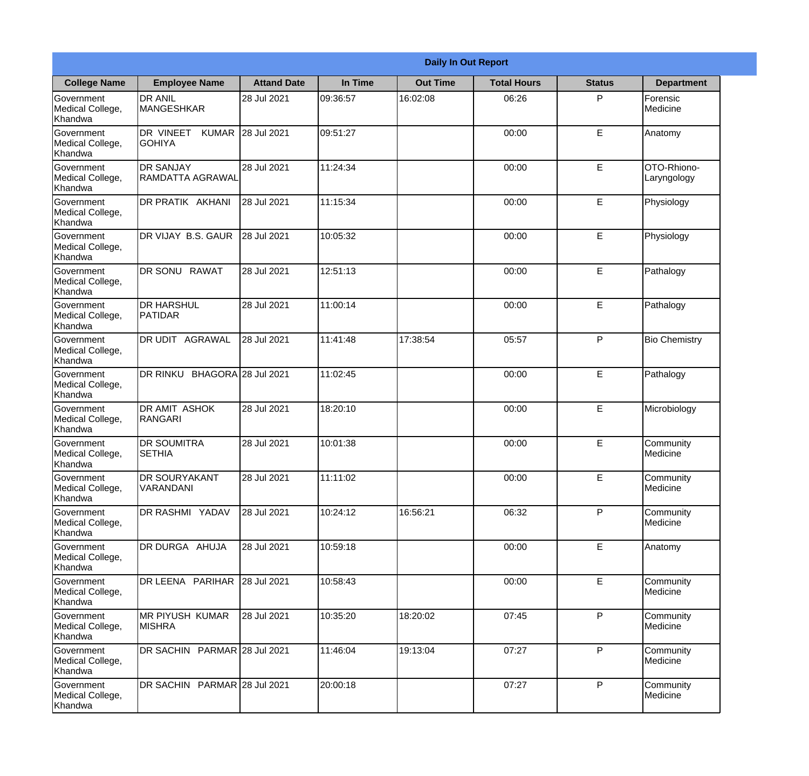|                                                  | <b>Daily In Out Report</b>                 |                    |          |                 |                    |               |                            |  |
|--------------------------------------------------|--------------------------------------------|--------------------|----------|-----------------|--------------------|---------------|----------------------------|--|
| <b>College Name</b>                              | <b>Employee Name</b>                       | <b>Attand Date</b> | In Time  | <b>Out Time</b> | <b>Total Hours</b> | <b>Status</b> | <b>Department</b>          |  |
| Government<br>Medical College,<br>Khandwa        | <b>DR ANIL</b><br><b>MANGESHKAR</b>        | 28 Jul 2021        | 09:36:57 | 16:02:08        | 06:26              | P             | Forensic<br>Medicine       |  |
| Government<br>Medical College,<br>Khandwa        | DR VINEET<br><b>KUMAR</b><br><b>GOHIYA</b> | 28 Jul 2021        | 09:51:27 |                 | 00:00              | E             | Anatomy                    |  |
| <b>Government</b><br>Medical College,<br>Khandwa | <b>DR SANJAY</b><br>RAMDATTA AGRAWAL       | 28 Jul 2021        | 11:24:34 |                 | 00:00              | E             | OTO-Rhiono-<br>Laryngology |  |
| Government<br>Medical College,<br>Khandwa        | <b>DR PRATIK AKHANI</b>                    | 28 Jul 2021        | 11:15:34 |                 | 00:00              | E             | Physiology                 |  |
| Government<br>Medical College,<br>Khandwa        | DR VIJAY B.S. GAUR                         | 28 Jul 2021        | 10:05:32 |                 | 00:00              | E             | Physiology                 |  |
| Government<br>Medical College,<br>Khandwa        | DR SONU RAWAT                              | 28 Jul 2021        | 12:51:13 |                 | 00:00              | E             | Pathalogy                  |  |
| Government<br>Medical College,<br>Khandwa        | <b>I</b> DR HARSHUL<br><b>PATIDAR</b>      | 28 Jul 2021        | 11:00:14 |                 | 00:00              | E             | Pathalogy                  |  |
| Government<br>Medical College,<br>Khandwa        | DR UDIT AGRAWAL                            | 28 Jul 2021        | 11:41:48 | 17:38:54        | 05:57              | P             | <b>Bio Chemistry</b>       |  |
| Government<br>Medical College,<br>Khandwa        | BHAGORA 28 Jul 2021<br>DR RINKU            |                    | 11:02:45 |                 | 00:00              | E             | Pathalogy                  |  |
| Government<br>Medical College,<br>Khandwa        | <b>DR AMIT ASHOK</b><br>RANGARI            | 28 Jul 2021        | 18:20:10 |                 | 00:00              | E             | Microbiology               |  |
| Government<br>Medical College,<br>Khandwa        | <b>DR SOUMITRA</b><br><b>SETHIA</b>        | 28 Jul 2021        | 10:01:38 |                 | 00:00              | E             | Community<br>Medicine      |  |
| Government<br>Medical College,<br>Khandwa        | <b>DR SOURYAKANT</b><br>VARANDANI          | 28 Jul 2021        | 11:11:02 |                 | 00:00              | E             | Community<br>Medicine      |  |
| Government<br>Medical College,<br>Khandwa        | DR RASHMI YADAV                            | 28 Jul 2021        | 10:24:12 | 16:56:21        | 06:32              | P             | Community<br>Medicine      |  |
| Government<br>Medical College,<br>Khandwa        | DR DURGA AHUJA                             | 28 Jul 2021        | 10:59:18 |                 | 00:00              | E             | Anatomy                    |  |
| Government<br>Medical College,<br>Khandwa        | DR LEENA PARIHAR                           | 28 Jul 2021        | 10:58:43 |                 | 00:00              | E             | Community<br>Medicine      |  |
| Government<br>Medical College,<br>Khandwa        | MR PIYUSH KUMAR<br><b>MISHRA</b>           | 28 Jul 2021        | 10:35:20 | 18:20:02        | 07:45              | P             | Community<br>Medicine      |  |
| Government<br>Medical College,<br>Khandwa        | DR SACHIN PARMAR 28 Jul 2021               |                    | 11:46:04 | 19:13:04        | 07:27              | P             | Community<br>Medicine      |  |
| Government<br>Medical College,<br>Khandwa        | DR SACHIN PARMAR 28 Jul 2021               |                    | 20:00:18 |                 | 07:27              | P             | Community<br>Medicine      |  |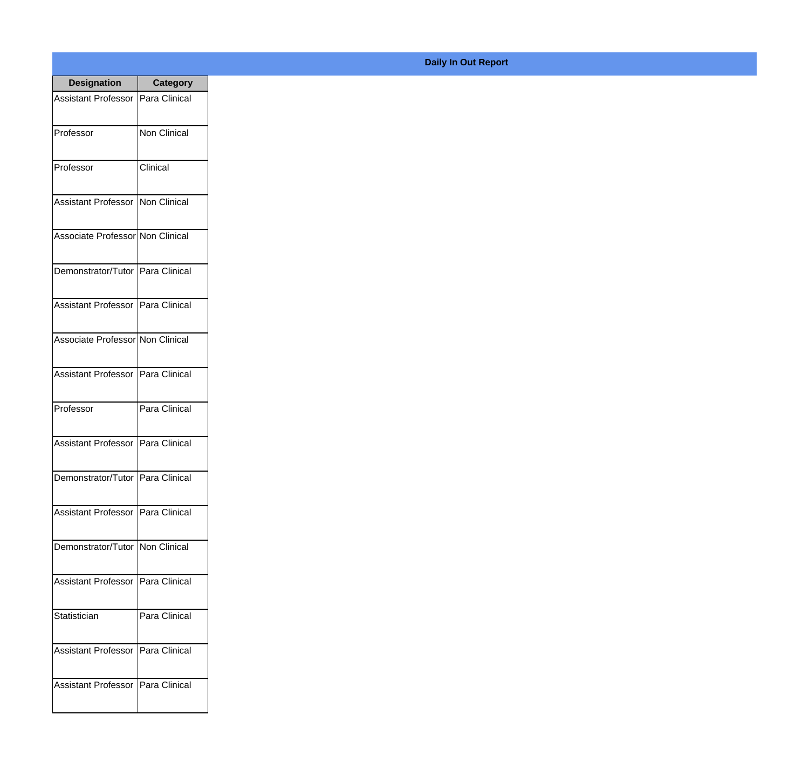| <b>Designation</b>                  | <b>Category</b>      |
|-------------------------------------|----------------------|
| <b>Assistant Professor</b>          | Para Clinical        |
| Professor                           | <b>Non Clinical</b>  |
| Professor                           | Clinical             |
| Assistant Professor                 | Non Clinical         |
| Associate Professor Non Clinical    |                      |
| Demonstrator/Tutor   Para Clinical  |                      |
| Assistant Professor   Para Clinical |                      |
| Associate Professor Non Clinical    |                      |
| Assistant Professor   Para Clinical |                      |
| Professor                           | Para Clinical        |
| <b>Assistant Professor</b>          | Para Clinical        |
| Demonstrator/Tutor                  | Para Clinical        |
| <b>Assistant Professor</b>          | <b>Para Clinical</b> |
| Demonstrator/Tutor   Non Clinical   |                      |
| <b>Assistant Professor</b>          | Para Clinical        |
| Statistician                        | Para Clinical        |
| <b>Assistant Professor</b>          | Para Clinical        |
| <b>Assistant Professor</b>          | Para Clinical        |

## **Daily In Out Report**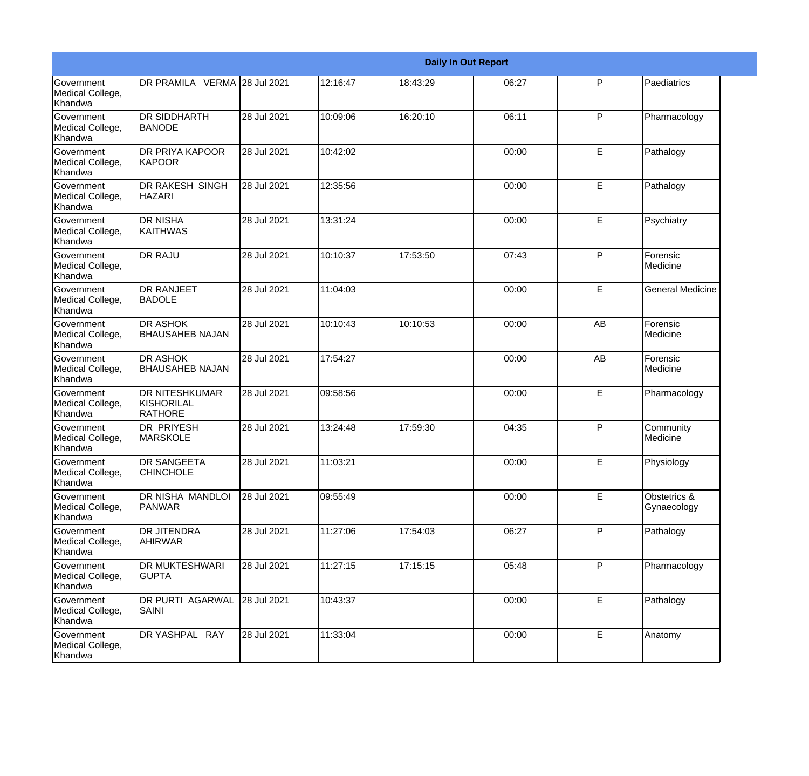|                                                  |                                                       |             |          |          | <b>Daily In Out Report</b> |             |                             |
|--------------------------------------------------|-------------------------------------------------------|-------------|----------|----------|----------------------------|-------------|-----------------------------|
| Government<br>Medical College,<br>Khandwa        | DR PRAMILA VERMA 28 Jul 2021                          |             | 12:16:47 | 18:43:29 | 06:27                      | P           | Paediatrics                 |
| Government<br>Medical College,<br>Khandwa        | <b>DR SIDDHARTH</b><br><b>BANODE</b>                  | 28 Jul 2021 | 10:09:06 | 16:20:10 | 06:11                      | P           | Pharmacology                |
| <b>Government</b><br>Medical College,<br>Khandwa | <b>DR PRIYA KAPOOR</b><br>IKAPOOR                     | 28 Jul 2021 | 10:42:02 |          | 00:00                      | E           | Pathalogy                   |
| <b>Government</b><br>Medical College,<br>Khandwa | <b>DR RAKESH SINGH</b><br><b>HAZARI</b>               | 28 Jul 2021 | 12:35:56 |          | 00:00                      | E           | Pathalogy                   |
| Government<br>Medical College,<br>Khandwa        | <b>DR NISHA</b><br><b>KAITHWAS</b>                    | 28 Jul 2021 | 13:31:24 |          | 00:00                      | E           | Psychiatry                  |
| Government<br>Medical College,<br>Khandwa        | <b>DR RAJU</b>                                        | 28 Jul 2021 | 10:10:37 | 17:53:50 | 07:43                      | P           | Forensic<br>Medicine        |
| Government<br>Medical College,<br>Khandwa        | <b>DR RANJEET</b><br><b>BADOLE</b>                    | 28 Jul 2021 | 11:04:03 |          | 00:00                      | E           | <b>General Medicine</b>     |
| Government<br>Medical College,<br>Khandwa        | <b>DR ASHOK</b><br><b>BHAUSAHEB NAJAN</b>             | 28 Jul 2021 | 10:10:43 | 10:10:53 | 00:00                      | AB          | Forensic<br>Medicine        |
| Government<br>Medical College,<br>Khandwa        | <b>DR ASHOK</b><br><b>BHAUSAHEB NAJAN</b>             | 28 Jul 2021 | 17:54:27 |          | 00:00                      | AB          | Forensic<br>Medicine        |
| <b>Government</b><br>Medical College,<br>Khandwa | <b>DR NITESHKUMAR</b><br>KISHORILAL<br><b>RATHORE</b> | 28 Jul 2021 | 09:58:56 |          | 00:00                      | E           | Pharmacology                |
| <b>Government</b><br>Medical College,<br>Khandwa | <b>DR PRIYESH</b><br><b>MARSKOLE</b>                  | 28 Jul 2021 | 13:24:48 | 17:59:30 | 04:35                      | P           | Community<br>Medicine       |
| Government<br>Medical College,<br>Khandwa        | <b>DR SANGEETA</b><br><b>CHINCHOLE</b>                | 28 Jul 2021 | 11:03:21 |          | 00:00                      | E           | Physiology                  |
| Government<br>Medical College,<br>Khandwa        | DR NISHA MANDLOI<br><b>PANWAR</b>                     | 28 Jul 2021 | 09:55:49 |          | 00:00                      | E           | Obstetrics &<br>Gynaecology |
| Government<br>Medical College,<br>Khandwa        | <b>DR JITENDRA</b><br><b>AHIRWAR</b>                  | 28 Jul 2021 | 11:27:06 | 17:54:03 | 06:27                      | P           | Pathalogy                   |
| Government<br>Medical College,<br>Khandwa        | <b>DR MUKTESHWARI</b><br><b>GUPTA</b>                 | 28 Jul 2021 | 11:27:15 | 17:15:15 | 05:48                      | P           | Pharmacology                |
| Government<br>Medical College,<br>Khandwa        | DR PURTI AGARWAL<br>SAINI                             | 28 Jul 2021 | 10:43:37 |          | 00:00                      | E           | Pathalogy                   |
| Government<br>Medical College,<br>Khandwa        | DR YASHPAL RAY                                        | 28 Jul 2021 | 11:33:04 |          | 00:00                      | $\mathsf E$ | Anatomy                     |